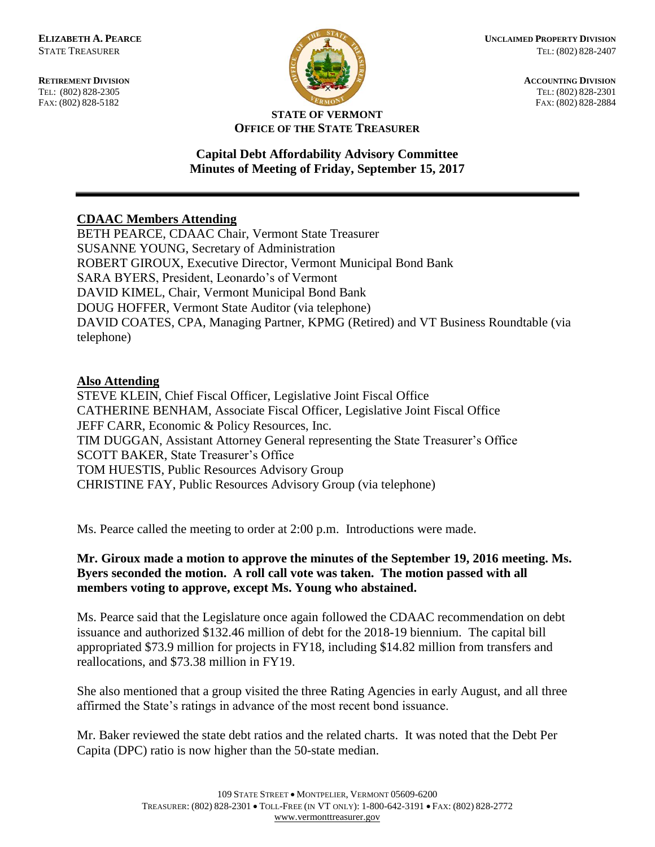FAX: (802) 828-5182



**RETIREMENT DIVISION ACCOUNTING DIVISION** TEL: (802) 828-2305<br>
FAX: (802) 828-2305<br>
FAX: (802) 828-2384<br>
TEL: (802) 828-2305<br>
FAX: (802) 828-2884

#### **STATE OF VERMONT OFFICE OF THE STATE TREASURER**

## **Capital Debt Affordability Advisory Committee Minutes of Meeting of Friday, September 15, 2017**

# **CDAAC Members Attending**

BETH PEARCE, CDAAC Chair, Vermont State Treasurer SUSANNE YOUNG, Secretary of Administration ROBERT GIROUX, Executive Director, Vermont Municipal Bond Bank SARA BYERS, President, Leonardo's of Vermont DAVID KIMEL, Chair, Vermont Municipal Bond Bank DOUG HOFFER, Vermont State Auditor (via telephone) DAVID COATES, CPA, Managing Partner, KPMG (Retired) and VT Business Roundtable (via telephone)

### **Also Attending**

STEVE KLEIN, Chief Fiscal Officer, Legislative Joint Fiscal Office CATHERINE BENHAM, Associate Fiscal Officer, Legislative Joint Fiscal Office JEFF CARR, Economic & Policy Resources, Inc. TIM DUGGAN, Assistant Attorney General representing the State Treasurer's Office SCOTT BAKER, State Treasurer's Office TOM HUESTIS, Public Resources Advisory Group CHRISTINE FAY, Public Resources Advisory Group (via telephone)

Ms. Pearce called the meeting to order at 2:00 p.m. Introductions were made.

## **Mr. Giroux made a motion to approve the minutes of the September 19, 2016 meeting. Ms. Byers seconded the motion. A roll call vote was taken. The motion passed with all members voting to approve, except Ms. Young who abstained.**

Ms. Pearce said that the Legislature once again followed the CDAAC recommendation on debt issuance and authorized \$132.46 million of debt for the 2018-19 biennium. The capital bill appropriated \$73.9 million for projects in FY18, including \$14.82 million from transfers and reallocations, and \$73.38 million in FY19.

She also mentioned that a group visited the three Rating Agencies in early August, and all three affirmed the State's ratings in advance of the most recent bond issuance.

Mr. Baker reviewed the state debt ratios and the related charts. It was noted that the Debt Per Capita (DPC) ratio is now higher than the 50-state median.